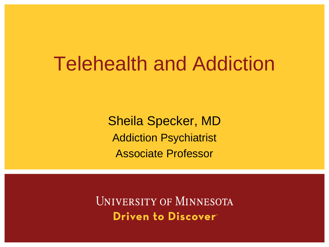Sheila Specker, MD Addiction Psychiatrist Associate Professor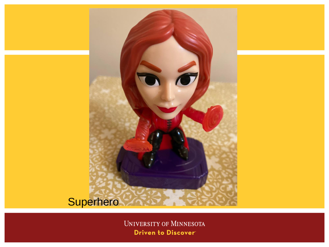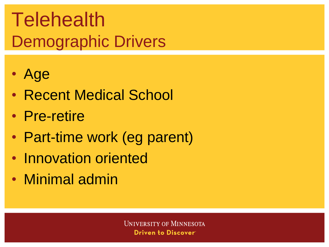## Telehealth Demographic Drivers

- Age
- Recent Medical School
- Pre-retire
- Part-time work (eg parent)
- Innovation oriented
- Minimal admin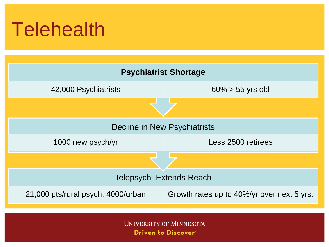## **Telehealth**

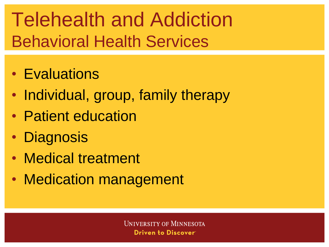## Telehealth and Addiction Behavioral Health Services

- Evaluations
- Individual, group, family therapy
- Patient education
- Diagnosis
- Medical treatment
- Medication management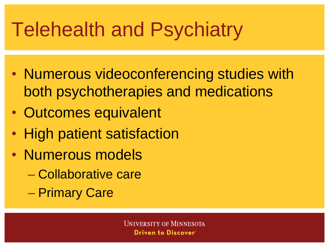# Telehealth and Psychiatry

- Numerous videoconferencing studies with both psychotherapies and medications
- Outcomes equivalent
- High patient satisfaction
- Numerous models
	- Collaborative care
	- Primary Care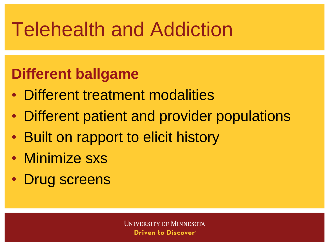#### **Different ballgame**

- Different treatment modalities
- Different patient and provider populations
- Built on rapport to elicit history
- Minimize sxs
- Drug screens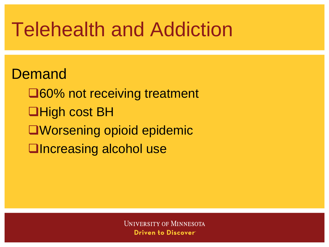Demand ❑60% not receiving treatment ❑High cost BH ❑Worsening opioid epidemic ❑Increasing alcohol use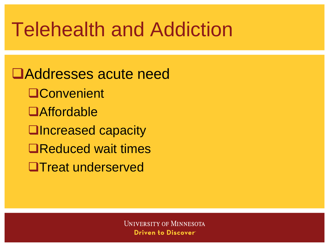❑Addresses acute need ❑Convenient ❑Affordable ❑Increased capacity ❑Reduced wait times ❑Treat underserved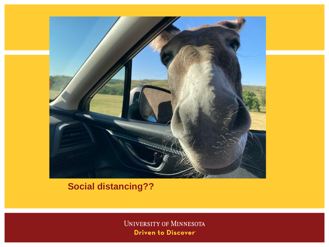

#### **Social distancing??**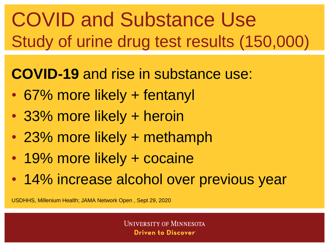# COVID and Substance Use Study of urine drug test results (150,000)

#### **COVID-19** and rise in substance use:

- 67% more likely + fentanyl
- 33% more likely + heroin
- 23% more likely + methamph
- 19% more likely + cocaine
- 14% increase alcohol over previous year

USDHHS, Millenium Health; JAMA Network Open , Sept 29, 2020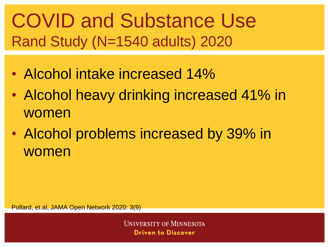#### COVID and Substance Use Rand Study (N=1540 adults) 2020

- Alcohol intake increased 14%
- Alcohol heavy drinking increased 41% in women
- Alcohol problems increased by 39% in women

Pollard, et.al, JAMA Open Network 2020: 3(9)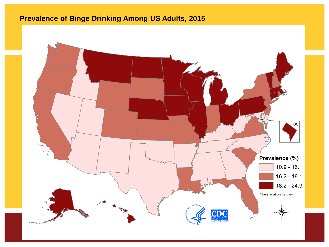#### **Prevalence of Binge Drinking Among US Adults, 2015**

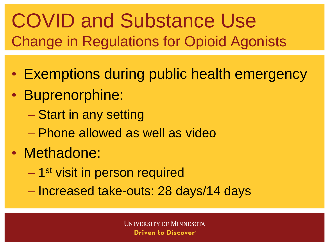#### COVID and Substance Use Change in Regulations for Opioid Agonists

- Exemptions during public health emergency
- Buprenorphine:
	- Start in any setting
	- Phone allowed as well as video
- Methadone:
	- 1<sup>st</sup> visit in person required
	- Increased take-outs: 28 days/14 days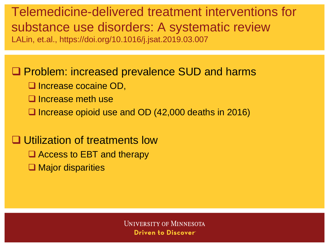Telemedicine-delivered treatment interventions for substance use disorders: A systematic review LALin, et.al., https://doi.org/10.1016/j.jsat.2019.03.007

❑ Problem: increased prevalence SUD and harms

- ❑ Increase cocaine OD,
- ❑ Increase meth use
- ❑ Increase opioid use and OD (42,000 deaths in 2016)

❑ Utilization of treatments low

- ❑ Access to EBT and therapy
- ❑ Major disparities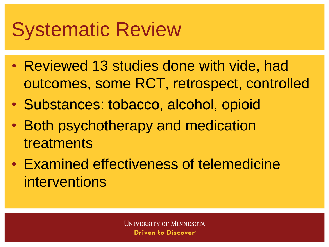## Systematic Review

- Reviewed 13 studies done with vide, had outcomes, some RCT, retrospect, controlled
- Substances: tobacco, alcohol, opioid
- Both psychotherapy and medication treatments
- Examined effectiveness of telemedicine interventions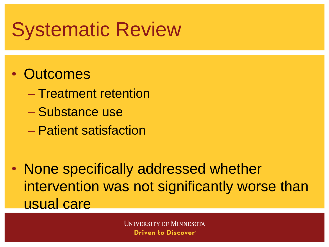### Systematic Review

#### • Outcomes

- Treatment retention
- Substance use
- Patient satisfaction
- None specifically addressed whether intervention was not significantly worse than usual care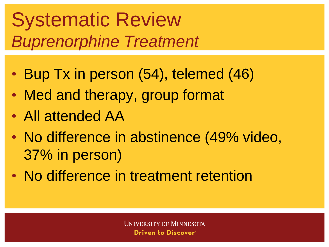#### Systematic Review *Buprenorphine Treatment*

- Bup Tx in person (54), telemed (46)
- Med and therapy, group format
- All attended AA
- No difference in abstinence (49% video, 37% in person)
- No difference in treatment retention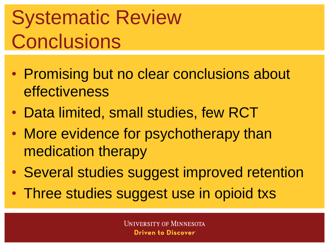# Systematic Review **Conclusions**

- Promising but no clear conclusions about effectiveness
- Data limited, small studies, few RCT
- More evidence for psychotherapy than medication therapy
- Several studies suggest improved retention
- Three studies suggest use in opioid txs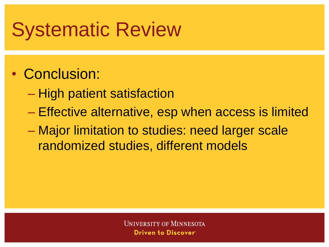## Systematic Review

#### • Conclusion:

- High patient satisfaction
- Effective alternative, esp when access is limited
- Major limitation to studies: need larger scale randomized studies, different models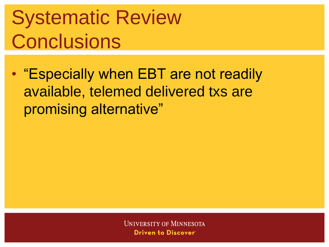# Systematic Review **Conclusions**

• "Especially when EBT are not readily available, telemed delivered txs are promising alternative"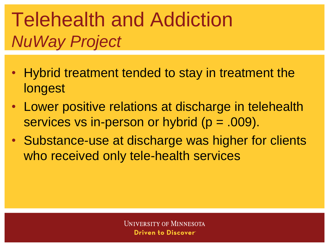## Telehealth and Addiction *NuWay Project*

- Hybrid treatment tended to stay in treatment the longest
- Lower positive relations at discharge in telehealth services vs in-person or hybrid (p = .009).
- Substance-use at discharge was higher for clients who received only tele-health services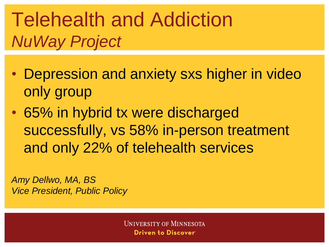### Telehealth and Addiction *NuWay Project*

- Depression and anxiety sxs higher in video only group
- 65% in hybrid tx were discharged successfully, vs 58% in-person treatment and only 22% of telehealth services

*Amy Dellwo, MA, BS Vice President, Public Policy*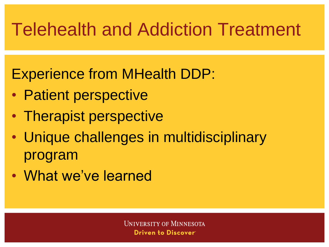#### Telehealth and Addiction Treatment

Experience from MHealth DDP:

- Patient perspective
- Therapist perspective
- Unique challenges in multidisciplinary program
- What we've learned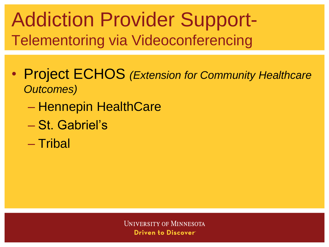#### Addiction Provider Support-Telementoring via Videoconferencing

- Project ECHOS *(Extension for Community Healthcare Outcomes)*
	- Hennepin HealthCare
	- St. Gabriel's
	- Tribal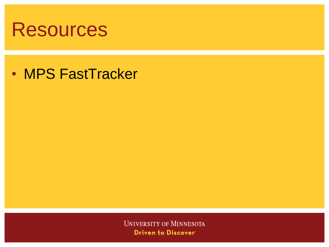

• MPS FastTracker